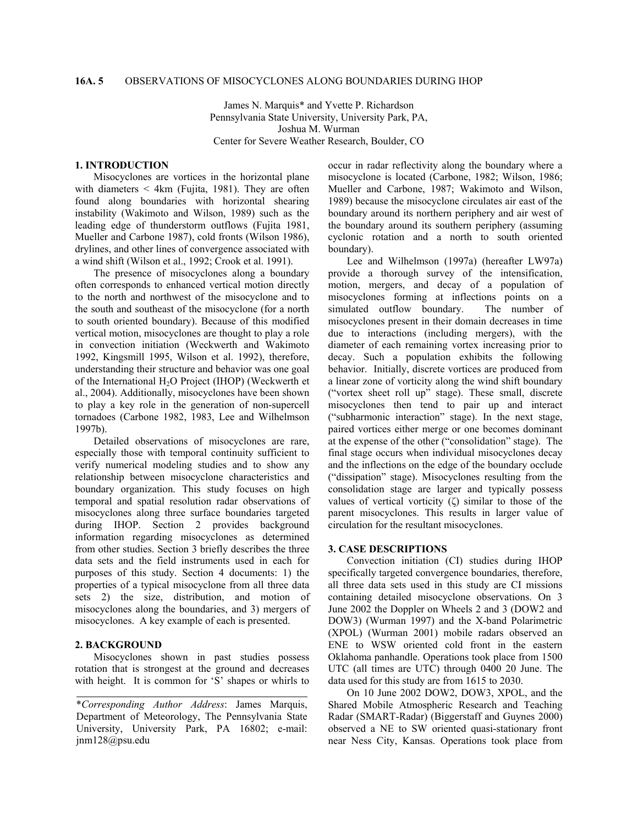## **16A. 5** OBSERVATIONS OF MISOCYCLONES ALONG BOUNDARIES DURING IHOP

James N. Marquis\* and Yvette P. Richardson Pennsylvania State University, University Park, PA, Joshua M. Wurman Center for Severe Weather Research, Boulder, CO

## **1. INTRODUCTION**

Misocyclones are vortices in the horizontal plane with diameters  $\leq$  4km (Fujita, 1981). They are often found along boundaries with horizontal shearing instability (Wakimoto and Wilson, 1989) such as the leading edge of thunderstorm outflows (Fujita 1981, Mueller and Carbone 1987), cold fronts (Wilson 1986), drylines, and other lines of convergence associated with a wind shift (Wilson et al., 1992; Crook et al. 1991).

The presence of misocyclones along a boundary often corresponds to enhanced vertical motion directly to the north and northwest of the misocyclone and to the south and southeast of the misocyclone (for a north to south oriented boundary). Because of this modified vertical motion, misocyclones are thought to play a role in convection initiation (Weckwerth and Wakimoto 1992, Kingsmill 1995, Wilson et al. 1992), therefore, understanding their structure and behavior was one goal of the International H2O Project (IHOP) (Weckwerth et al., 2004). Additionally, misocyclones have been shown to play a key role in the generation of non-supercell tornadoes (Carbone 1982, 1983, Lee and Wilhelmson 1997b).

Detailed observations of misocyclones are rare, especially those with temporal continuity sufficient to verify numerical modeling studies and to show any relationship between misocyclone characteristics and boundary organization. This study focuses on high temporal and spatial resolution radar observations of misocyclones along three surface boundaries targeted during IHOP. Section 2 provides background information regarding misocyclones as determined from other studies. Section 3 briefly describes the three data sets and the field instruments used in each for purposes of this study. Section 4 documents: 1) the properties of a typical misocyclone from all three data sets 2) the size, distribution, and motion of misocyclones along the boundaries, and 3) mergers of misocyclones. A key example of each is presented.

# **2. BACKGROUND**

Misocyclones shown in past studies possess rotation that is strongest at the ground and decreases with height. It is common for 'S' shapes or whirls to occur in radar reflectivity along the boundary where a misocyclone is located (Carbone, 1982; Wilson, 1986; Mueller and Carbone, 1987; Wakimoto and Wilson, 1989) because the misocyclone circulates air east of the boundary around its northern periphery and air west of the boundary around its southern periphery (assuming cyclonic rotation and a north to south oriented boundary).

Lee and Wilhelmson (1997a) (hereafter LW97a) provide a thorough survey of the intensification, motion, mergers, and decay of a population of misocyclones forming at inflections points on a simulated outflow boundary. The number of misocyclones present in their domain decreases in time due to interactions (including mergers), with the diameter of each remaining vortex increasing prior to decay. Such a population exhibits the following behavior. Initially, discrete vortices are produced from a linear zone of vorticity along the wind shift boundary ("vortex sheet roll up" stage). These small, discrete misocyclones then tend to pair up and interact ("subharmonic interaction" stage). In the next stage, paired vortices either merge or one becomes dominant at the expense of the other ("consolidation" stage). The final stage occurs when individual misocyclones decay and the inflections on the edge of the boundary occlude ("dissipation" stage). Misocyclones resulting from the consolidation stage are larger and typically possess values of vertical vorticity (ζ) similar to those of the parent misocyclones. This results in larger value of circulation for the resultant misocyclones.

#### **3. CASE DESCRIPTIONS**

 Convection initiation (CI) studies during IHOP specifically targeted convergence boundaries, therefore, all three data sets used in this study are CI missions containing detailed misocyclone observations. On 3 June 2002 the Doppler on Wheels 2 and 3 (DOW2 and DOW3) (Wurman 1997) and the X-band Polarimetric (XPOL) (Wurman 2001) mobile radars observed an ENE to WSW oriented cold front in the eastern Oklahoma panhandle. Operations took place from 1500 UTC (all times are UTC) through 0400 20 June. The data used for this study are from 1615 to 2030.

 On 10 June 2002 DOW2, DOW3, XPOL, and the Shared Mobile Atmospheric Research and Teaching Radar (SMART-Radar) (Biggerstaff and Guynes 2000) observed a NE to SW oriented quasi-stationary front near Ness City, Kansas. Operations took place from

<sup>\*</sup>*Corresponding Author Address*: James Marquis, Department of Meteorology, The Pennsylvania State University, University Park, PA 16802; e-mail: jnm128@psu.edu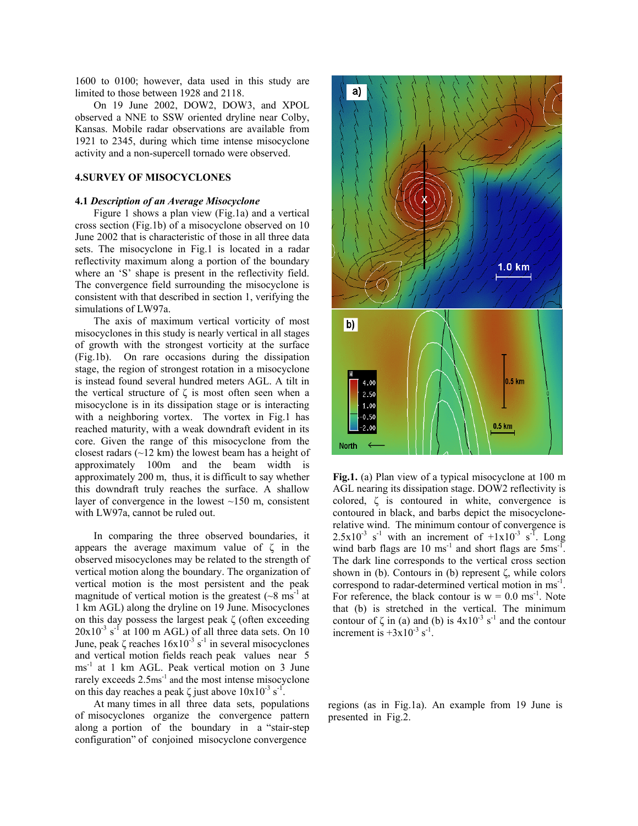1600 to 0100; however, data used in this study are limited to those between 1928 and 2118.

On 19 June 2002, DOW2, DOW3, and XPOL observed a NNE to SSW oriented dryline near Colby, Kansas. Mobile radar observations are available from 1921 to 2345, during which time intense misocyclone activity and a non-supercell tornado were observed.

# **4.SURVEY OF MISOCYCLONES**

### **4.1** *Description of an Average Misocyclone*

 Figure 1 shows a plan view (Fig.1a) and a vertical cross section (Fig.1b) of a misocyclone observed on 10 June 2002 that is characteristic of those in all three data sets. The misocyclone in Fig.1 is located in a radar reflectivity maximum along a portion of the boundary where an 'S' shape is present in the reflectivity field. The convergence field surrounding the misocyclone is consistent with that described in section 1, verifying the simulations of LW97a.

The axis of maximum vertical vorticity of most misocyclones in this study is nearly vertical in all stages of growth with the strongest vorticity at the surface (Fig.1b). On rare occasions during the dissipation stage, the region of strongest rotation in a misocyclone is instead found several hundred meters AGL. A tilt in the vertical structure of ζ is most often seen when a misocyclone is in its dissipation stage or is interacting with a neighboring vortex. The vortex in Fig.1 has reached maturity, with a weak downdraft evident in its core. Given the range of this misocyclone from the closest radars (~12 km) the lowest beam has a height of approximately 100m and the beam width is approximately 200 m, thus, it is difficult to say whether this downdraft truly reaches the surface. A shallow layer of convergence in the lowest  $\sim$ 150 m, consistent with LW97a, cannot be ruled out.

 In comparing the three observed boundaries, it appears the average maximum value of ζ in the observed misocyclones may be related to the strength of vertical motion along the boundary. The organization of vertical motion is the most persistent and the peak magnitude of vertical motion is the greatest  $({\sim}8 \text{ ms}^{-1}$  at 1 km AGL) along the dryline on 19 June. Misocyclones on this day possess the largest peak  $\zeta$  (often exceeding  $20x10^{-3}$  s<sup>-1</sup> at 100 m AGL) of all three data sets. On 10 June, peak  $\zeta$  reaches  $16x10^{-3}$  s<sup>-1</sup> in several misocyclones and vertical motion fields reach peak values near 5 ms<sup>-1</sup> at 1 km AGL. Peak vertical motion on 3 June rarely exceeds  $2.5 \text{ms}^{-1}$  and the most intense misocyclone on this day reaches a peak  $\zeta$  just above  $10x10^{-3}$  s<sup>-1</sup>.

 At many times in all three data sets, populations of misocyclones organize the convergence pattern along a portion of the boundary in a "stair-step configuration" of conjoined misocyclone convergence



**Fig.1.** (a) Plan view of a typical misocyclone at 100 m AGL nearing its dissipation stage. DOW2 reflectivity is colored, ζ is contoured in white, convergence is contoured in black, and barbs depict the misocyclonerelative wind. The minimum contour of convergence is  $2.5x10^{-3}$  s<sup>-1</sup> with an increment of  $+1x10^{-3}$  s<sup>-T</sup>. Long wind barb flags are  $10 \text{ ms}^{-1}$  and short flags are  $5 \text{ ms}^{-1}$ . The dark line corresponds to the vertical cross section shown in (b). Contours in (b) represent ζ, while colors correspond to radar-determined vertical motion in ms-1. For reference, the black contour is  $w = 0.0$  ms<sup>-1</sup>. Note that (b) is stretched in the vertical. The minimum contour of  $\zeta$  in (a) and (b) is  $4x10^{-3}$  s<sup>-1</sup> and the contour increment is  $+3x10^{-3}$  s<sup>-1</sup>.

regions (as in Fig.1a). An example from 19 June is presented in Fig.2.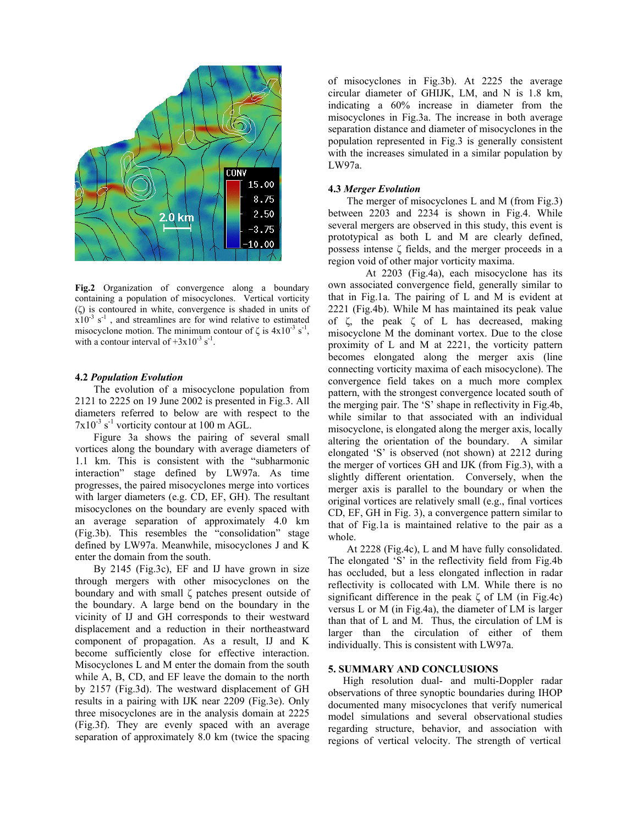

**Fig.2** Organization of convergence along a boundary containing a population of misocyclones. Vertical vorticity (ζ) is contoured in white, convergence is shaded in units of  $x10^{-3}$  s<sup>-1</sup>, and streamlines are for wind relative to estimated misocyclone motion. The minimum contour of  $\zeta$  is  $4x10^{-3}$  s<sup>-1</sup>, with a contour interval of  $+3x10^{-3}$  s<sup>-1</sup>.

### **4.2** *Population Evolution*

The evolution of a misocyclone population from 2121 to 2225 on 19 June 2002 is presented in Fig.3. All diameters referred to below are with respect to the  $7x10^{-3}$  s<sup>-1</sup> vorticity contour at 100 m AGL.

Figure 3a shows the pairing of several small vortices along the boundary with average diameters of 1.1 km. This is consistent with the "subharmonic interaction" stage defined by LW97a. As time progresses, the paired misocyclones merge into vortices with larger diameters (e.g. CD, EF, GH). The resultant misocyclones on the boundary are evenly spaced with an average separation of approximately 4.0 km (Fig.3b). This resembles the "consolidation" stage defined by LW97a. Meanwhile, misocyclones J and K enter the domain from the south.

By 2145 (Fig.3c), EF and IJ have grown in size through mergers with other misocyclones on the boundary and with small ζ patches present outside of the boundary. A large bend on the boundary in the vicinity of IJ and GH corresponds to their westward displacement and a reduction in their northeastward component of propagation. As a result, IJ and K become sufficiently close for effective interaction. Misocyclones L and M enter the domain from the south while A, B, CD, and EF leave the domain to the north by 2157 (Fig.3d). The westward displacement of GH results in a pairing with IJK near 2209 (Fig.3e). Only three misocyclones are in the analysis domain at 2225 (Fig.3f). They are evenly spaced with an average separation of approximately 8.0 km (twice the spacing

of misocyclones in Fig.3b). At 2225 the average circular diameter of GHIJK, LM, and N is 1.8 km, indicating a 60% increase in diameter from the misocyclones in Fig.3a. The increase in both average separation distance and diameter of misocyclones in the population represented in Fig.3 is generally consistent with the increases simulated in a similar population by LW97a.

#### **4.3** *Merger Evolution*

The merger of misocyclones L and M (from Fig.3) between 2203 and 2234 is shown in Fig.4. While several mergers are observed in this study, this event is prototypical as both L and M are clearly defined, possess intense ζ fields, and the merger proceeds in a region void of other major vorticity maxima.

 At 2203 (Fig.4a), each misocyclone has its own associated convergence field, generally similar to that in Fig.1a. The pairing of L and M is evident at 2221 (Fig.4b). While M has maintained its peak value of ζ, the peak ζ of L has decreased, making misocyclone M the dominant vortex. Due to the close proximity of L and M at 2221, the vorticity pattern becomes elongated along the merger axis (line connecting vorticity maxima of each misocyclone). The convergence field takes on a much more complex pattern, with the strongest convergence located south of the merging pair. The 'S' shape in reflectivity in Fig.4b, while similar to that associated with an individual misocyclone, is elongated along the merger axis, locally altering the orientation of the boundary. A similar elongated 'S' is observed (not shown) at 2212 during the merger of vortices GH and IJK (from Fig.3), with a slightly different orientation. Conversely, when the merger axis is parallel to the boundary or when the original vortices are relatively small (e.g., final vortices CD, EF, GH in Fig. 3), a convergence pattern similar to that of Fig.1a is maintained relative to the pair as a whole.

At 2228 (Fig.4c), L and M have fully consolidated. The elongated 'S' in the reflectivity field from Fig.4b has occluded, but a less elongated inflection in radar reflectivity is collocated with LM. While there is no significant difference in the peak  $\zeta$  of LM (in Fig.4c) versus L or M (in Fig.4a), the diameter of LM is larger than that of L and M. Thus, the circulation of LM is larger than the circulation of either of them individually. This is consistent with LW97a.

#### **5. SUMMARY AND CONCLUSIONS**

High resolution dual- and multi-Doppler radar observations of three synoptic boundaries during IHOP documented many misocyclones that verify numerical model simulations and several observational studies regarding structure, behavior, and association with regions of vertical velocity. The strength of vertical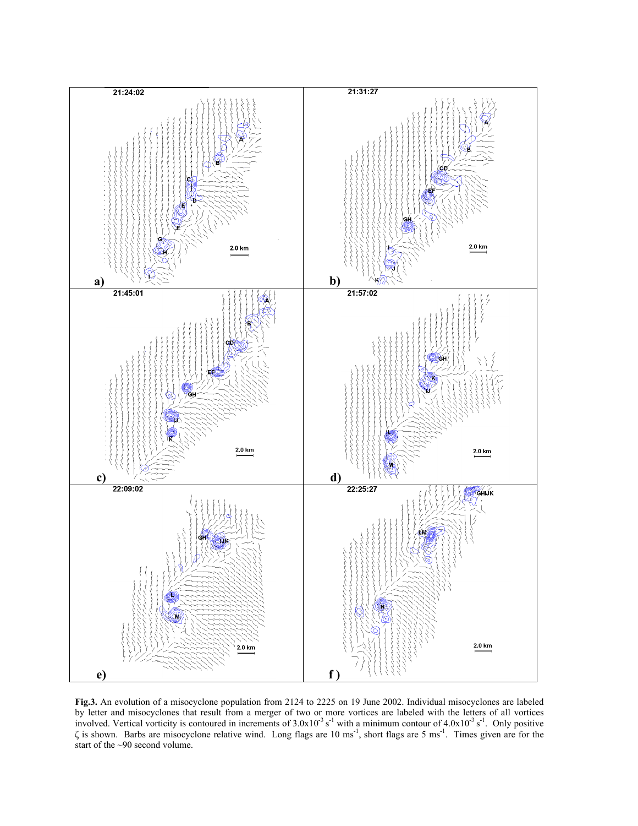

**Fig.3.** An evolution of a misocyclone population from 2124 to 2225 on 19 June 2002. Individual misocyclones are labeled by letter and misocyclones that result from a merger of two or more vortices are labeled with the letters of all vortices involved. Vertical vorticity is contoured in increments of  $3.0 \times 10^{-3}$  s<sup>-1</sup> with a minimum contour of  $4.0 \times 10^{-3}$  s<sup>-1</sup>. Only positive  $\zeta$  is shown. Barbs are misocyclone relative wind. Long flags are 10 ms<sup>-1</sup>, short flags are 5 ms<sup>-1</sup>. Times given are for the start of the ~90 second volume.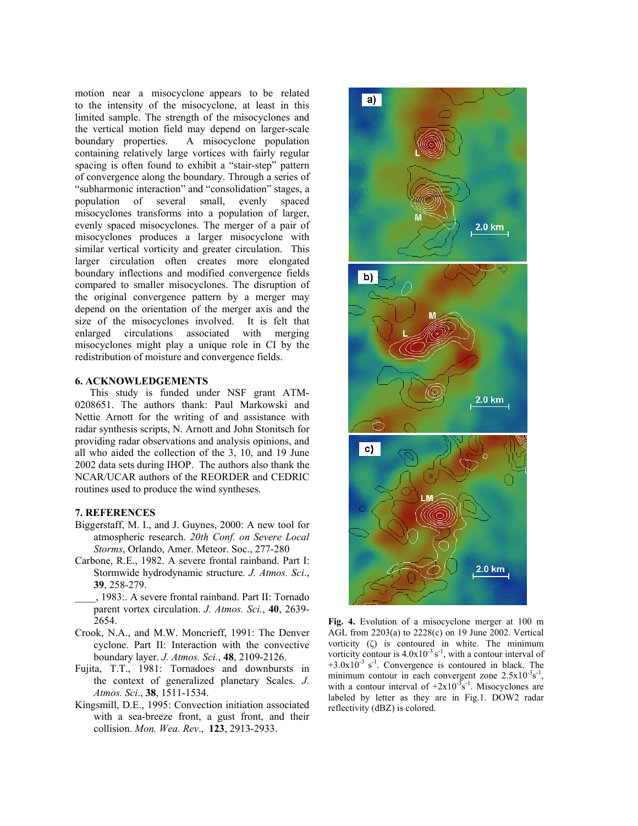motion near a misocyclone appears to be related to the intensity of the misocyclone, at least in this limited sample. The strength of the misocyclones and the vertical motion field may depend on larger-scale boundary properties. A misocyclone population containing relatively large vortices with fairly regular spacing is often found to exhibit a "stair-step" pattern of convergence along the boundary. Through a series of "subharmonic interaction" and "consolidation" stages, a population of several small, evenly spaced misocyclones transforms into a population of larger, evenly spaced misocyclones. The merger of a pair of misocyclones produces a larger misocyclone with similar vertical vorticity and greater circulation. This larger circulation often creates more elongated boundary inflections and modified convergence fields compared to smaller misocyclones. The disruption of the original convergence pattern by a merger may depend on the orientation of the merger axis and the size of the misocyclones involved. It is felt that enlarged circulations associated with merging misocyclones might play a unique role in CI by the redistribution of moisture and convergence fields.

### **6. ACKNOWLEDGEMENTS**

This study is funded under NSF grant ATM-0208651. The authors thank: Paul Markowski and Nettie Arnott for the writing of and assistance with radar synthesis scripts, N. Arnott and John Stonitsch for providing radar observations and analysis opinions, and all who aided the collection of the 3, 10, and 19 June 2002 data sets during IHOP. The authors also thank the NCAR/UCAR authors of the REORDER and CEDRIC routines used to produce the wind syntheses.

### **7. REFERENCES**

- Biggerstaff, M. I., and J. Guynes, 2000: A new tool for atmospheric research. *20th Conf. on Severe Local Storms*, Orlando, Amer. Meteor. Soc., 277-280
- Carbone, R.E., 1982. A severe frontal rainband. Part I: Stormwide hydrodynamic structure*. J. Atmos. Sci*., **39**, 258-279.
- \_\_\_\_, 1983:. A severe frontal rainband. Part II: Tornado parent vortex circulation. *J. Atmos. Sci.*, **40**, 2639- 2654.
- Crook, N.A., and M.W. Moncrieff, 1991: The Denver cyclone. Part II: Interaction with the convective boundary layer. *J. Atmos. Sci.*, **48**, 2109-2126.
- Fujita, T.T., 1981: Tornadoes and downbursts in the context of generalized planetary Scales. *J. Atmos. Sci*., **38**, 1511-1534.
- Kingsmill, D.E., 1995: Convection initiation associated with a sea-breeze front, a gust front, and their collision. *Mon. Wea. Rev*., **123**, 2913-2933.



**Fig. 4.** Evolution of a misocyclone merger at 100 m AGL from 2203(a) to 2228(c) on 19 June 2002. Vertical vorticity (ζ) is contoured in white. The minimum vorticity contour is  $4.0x10^{-3}$  s<sup>-1</sup>, with a contour interval of  $+3.0x10^{-3}$  s<sup>-1</sup>. Convergence is contoured in black. The minimum contour in each convergent zone  $2.5 \times 10^{-3}$ s<sup>-1</sup>, with a contour interval of  $+2x10^{-3}$ s<sup>-1</sup>. Misocyclones are labeled by letter as they are in Fig.1. DOW2 radar reflectivity (dBZ) is colored.